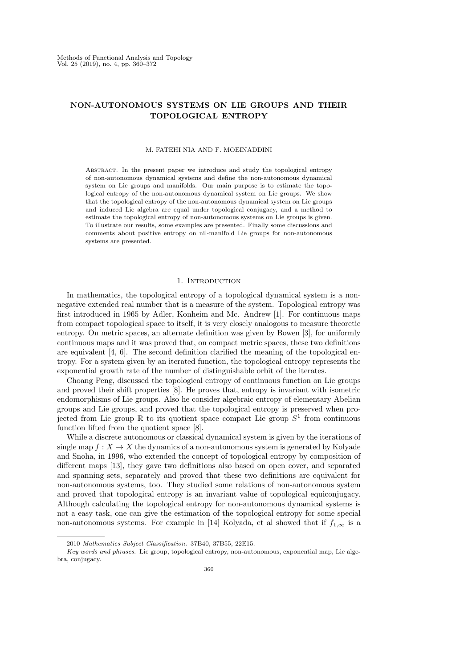# NON-AUTONOMOUS SYSTEMS ON LIE GROUPS AND THEIR TOPOLOGICAL ENTROPY

#### M. FATEHI NIA AND F. MOEINADDINI

Abstract. In the present paper we introduce and study the topological entropy of non-autonomous dynamical systems and define the non-autonomous dynamical system on Lie groups and manifolds. Our main purpose is to estimate the topological entropy of the non-autonomous dynamical system on Lie groups. We show that the topological entropy of the non-autonomous dynamical system on Lie groups and induced Lie algebra are equal under topological conjugacy, and a method to estimate the topological entropy of non-autonomous systems on Lie groups is given. To illustrate our results, some examples are presented. Finally some discussions and comments about positive entropy on nil-manifold Lie groups for non-autonomous systems are presented.

### 1. INTRODUCTION

In mathematics, the topological entropy of a topological dynamical system is a nonnegative extended real number that is a measure of the system. Topological entropy was first introduced in 1965 by Adler, Konheim and Mc. Andrew [1]. For continuous maps from compact topological space to itself, it is very closely analogous to measure theoretic entropy. On metric spaces, an alternate definition was given by Bowen [3], for uniformly continuous maps and it was proved that, on compact metric spaces, these two definitions are equivalent  $[4, 6]$ . The second definition clarified the meaning of the topological entropy. For a system given by an iterated function, the topological entropy represents the exponential growth rate of the number of distinguishable orbit of the iterates.

Choang Peng, discussed the topological entropy of continuous function on Lie groups and proved their shift properties [8]. He proves that, entropy is invariant with isometric endomorphisms of Lie groups. Also he consider algebraic entropy of elementary Abelian groups and Lie groups, and proved that the topological entropy is preserved when projected from Lie group  $\mathbb R$  to its quotient space compact Lie group  $S^1$  from continuous function lifted from the quotient space [8].

While a discrete autonomous or classical dynamical system is given by the iterations of single map  $f : X \to X$  the dynamics of a non-autonomous system is generated by Kolyade and Snoha, in 1996, who extended the concept of topological entropy by composition of different maps [13], they gave two definitions also based on open cover, and separated and spanning sets, separately and proved that these two definitions are equivalent for non-autonomous systems, too. They studied some relations of non-autonomous system and proved that topological entropy is an invariant value of topological equiconjugacy. Although calculating the topological entropy for non-autonomous dynamical systems is not a easy task, one can give the estimation of the topological entropy for some special non-autonomous systems. For example in [14] Kolyada, et al showed that if  $f_{1,\infty}$  is a

<sup>2010</sup> Mathematics Subject Classification. 37B40, 37B55, 22E15.

Key words and phrases. Lie group, topological entropy, non-autonomous, exponential map, Lie algebra, conjugacy. 360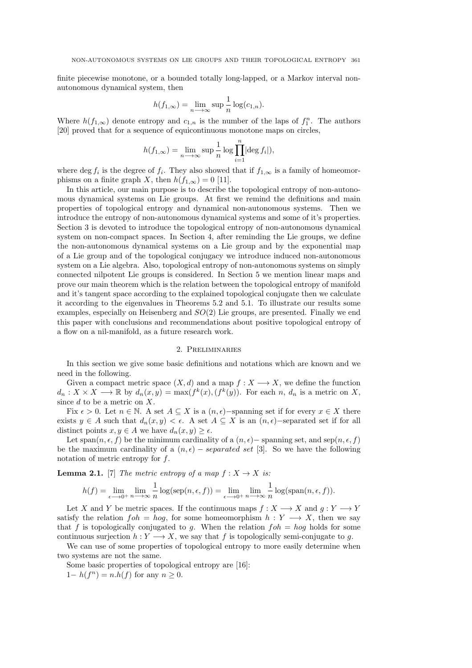finite piecewise monotone, or a bounded totally long-lapped, or a Markov interval nonautonomous dynamical system, then

$$
h(f_{1,\infty}) = \lim_{n \to \infty} \sup \frac{1}{n} \log(c_{1,n}).
$$

Where  $h(f_{1,\infty})$  denote entropy and  $c_{1,n}$  is the number of the laps of  $f_1^n$ . The authors [20] proved that for a sequence of equicontinuous monotone maps on circles,

$$
h(f_{1,\infty}) = \lim_{n \to \infty} \sup \frac{1}{n} \log \prod_{i=1}^{n} |\text{deg } f_i|,
$$

where deg  $f_i$  is the degree of  $f_i$ . They also showed that if  $f_{1,\infty}$  is a family of homeomorphisms on a finite graph X, then  $h(f_{1,\infty}) = 0$  [11].

In this article, our main purpose is to describe the topological entropy of non-autonomous dynamical systems on Lie groups. At first we remind the definitions and main properties of topological entropy and dynamical non-autonomous systems. Then we introduce the entropy of non-autonomous dynamical systems and some of it's properties. Section 3 is devoted to introduce the topological entropy of non-autonomous dynamical system on non-compact spaces. In Section 4, after reminding the Lie groups, we define the non-autonomous dynamical systems on a Lie group and by the exponential map of a Lie group and of the topological conjugacy we introduce induced non-autonomous system on a Lie algebra. Also, topological entropy of non-autonomous systems on simply connected nilpotent Lie groups is considered. In Section 5 we mention linear maps and prove our main theorem which is the relation between the topological entropy of manifold and it's tangent space according to the explained topological conjugate then we calculate it according to the eigenvalues in Theorems 5.2 and 5.1. To illustrate our results some examples, especially on Heisenberg and  $SO(2)$  Lie groups, are presented. Finally we end this paper with conclusions and recommendations about positive topological entropy of a flow on a nil-manifold, as a future research work.

### 2. Preliminaries

In this section we give some basic definitions and notations which are known and we need in the following.

Given a compact metric space  $(X, d)$  and a map  $f : X \longrightarrow X$ , we define the function  $d_n: X \times X \longrightarrow \mathbb{R}$  by  $d_n(x, y) = \max(f^k(x), (f^k(y))$ . For each n,  $d_n$  is a metric on X, since  $d$  to be a metric on  $X$ .

Fix  $\epsilon > 0$ . Let  $n \in \mathbb{N}$ . A set  $A \subseteq X$  is a  $(n, \epsilon)$ –spanning set if for every  $x \in X$  there exists  $y \in A$  such that  $d_n(x, y) < \epsilon$ . A set  $A \subseteq X$  is an  $(n, \epsilon)$ –separated set if for all distinct points  $x, y \in A$  we have  $d_n(x, y) \geq \epsilon$ .

Let span(n,  $\epsilon$ , f) be the minimum cardinality of a  $(n, \epsilon)$  – spanning set, and sep(n,  $\epsilon$ , f) be the maximum cardinality of a  $(n, \epsilon)$  – separated set [3]. So we have the following notation of metric entropy for  $f$ .

**Lemma 2.1.** [7] The metric entropy of a map  $f : X \to X$  is:

$$
h(f) = \lim_{\epsilon \to 0^+} \lim_{n \to \infty} \frac{1}{n} \log(\text{sep}(n, \epsilon, f)) = \lim_{\epsilon \to 0^+} \lim_{n \to \infty} \frac{1}{n} \log(\text{span}(n, \epsilon, f)).
$$

Let X and Y be metric spaces. If the continuous maps  $f: X \longrightarrow X$  and  $g: Y \longrightarrow Y$ satisfy the relation  $foh = hog$ , for some homeomorphism  $h: Y \longrightarrow X$ , then we say that f is topologically conjugated to g. When the relation  $f \circ h = \log h$  holds for some continuous surjection  $h: Y \longrightarrow X$ , we say that f is topologically semi-conjugate to g.

We can use of some properties of topological entropy to more easily determine when two systems are not the same.

Some basic properties of topological entropy are [16]:

 $1-h(f^n)=n.h(f)$  for any  $n\geq 0$ .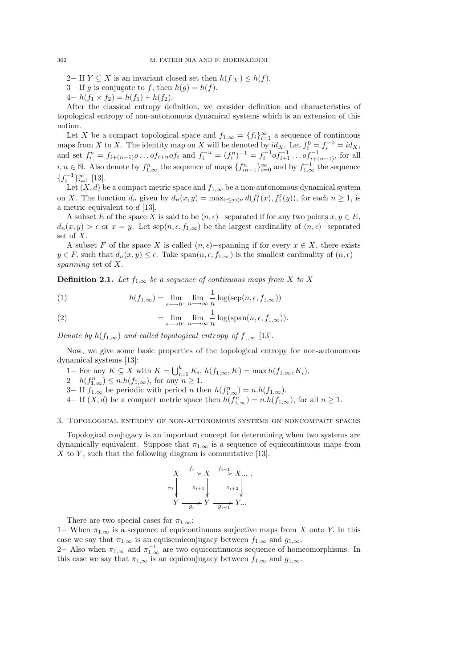2− If  $Y \subseteq X$  is an invariant closed set then  $h(f|_Y) \leq h(f)$ .

3– If g is conjugate to f, then  $h(g) = h(f)$ .

 $4-h(f_1 \times f_2) = h(f_1) + h(f_2).$ 

After the classical entropy definition, we consider definition and characteristics of topological entropy of non-autonomous dynamical systems which is an extension of this notion.

Let X be a compact topological space and  $f_{1,\infty} = \{f_i\}_{i=1}^{\infty}$  a sequence of continuous maps from X to X. The identity map on X will be denoted by  $id_X$ . Let  $f_i^0 = f_i^{-0} = id_X$ , and set  $f_i^n = f_{i+(n-1)} \circ \dots \circ f_{i+n} \circ f_i$  and  $f_i^{-n} = (f_i^n)^{-1} = f_i^{-1} \circ f_{i+1}^{-1} \dots \circ f_{i+(n-1)}^{-1}$ , for all  $i, n \in \mathbb{N}$ . Also denote by  $f_{1,\infty}^n$  the sequence of maps  $\{f_{in+1}^n\}_{i=0}^{\infty}$  and by  $f_{1,\infty}^{-1}$  the sequence  $\{f_i^{-1}\}_{i=1}^{\infty}$  [13].

Let  $(X, d)$  be a compact metric space and  $f_{1,\infty}$  be a non-autonomous dynamical system on X. The function  $d_n$  given by  $d_n(x, y) = \max_{0 \leq j < n} d(f_1^j(x), f_1^j(y))$ , for each  $n \geq 1$ , is a metric equivalent to d [13].

A subset E of the space X is said to be  $(n, \epsilon)$ –separated if for any two points  $x, y \in E$ ,  $d_n(x, y) > \epsilon$  or  $x = y$ . Let  $\text{sep}(n, \epsilon, f_{1,\infty})$  be the largest cardinality of  $(n, \epsilon)$ –separated set of X.

A subset F of the space X is called  $(n, \epsilon)$ –spanning if for every  $x \in X$ , there exists  $y \in F$ , such that  $d_n(x, y) \leq \epsilon$ . Take span $(n, \epsilon, f_{1,\infty})$  is the smallest cardinality of  $(n, \epsilon)$  – spanning set of X.

**Definition 2.1.** Let  $f_{1,\infty}$  be a sequence of continuous maps from X to X

(1) 
$$
h(f_{1,\infty}) = \lim_{\epsilon \to 0^+} \lim_{n \to \infty} \frac{1}{n} \log(\text{sep}(n, \epsilon, f_{1,\infty}))
$$

(2) 
$$
= \lim_{\epsilon \to 0^+} \lim_{n \to \infty} \frac{1}{n} \log(\text{span}(n, \epsilon, f_{1, \infty})).
$$

Denote by  $h(f_{1,\infty})$  and called topological entropy of  $f_{1,\infty}$  [13].

Now, we give some basic properties of the topological entropy for non-autonomous dynamical systems [13]:

- 1– For any  $K \subseteq X$  with  $K = \bigcup_{i=1}^{k} K_i$ ,  $h(f_{1,\infty}, K) = \max h(f_{1,\infty}, K_i)$ .
- $2-h(f_{1,\infty})\leq n.h(f_{1,\infty})$ , for any  $n\geq 1$ .
- 3– If  $f_{1,\infty}$  be periodic with period n then  $h(f_{1,\infty}) = n.h(f_{1,\infty})$ .

4− If  $(X, d)$  be a compact metric space then  $h(f_{1,\infty}) = n.h(f_{1,\infty})$ , for all  $n \ge 1$ .

### 3. Topological entropy of non-autonomous systems on noncompact spaces

Topological conjugacy is an important concept for determining when two systems are dynamically equivalent. Suppose that  $\pi_{1,\infty}$  is a sequence of equicontinuous maps from X to Y, such that the following diagram is commutative [13].

$$
X \xrightarrow{\qquad f_i} X \xrightarrow{\qquad f_{i+1}} X \dots
$$
  
\n
$$
\pi_i \downarrow \qquad \pi_{i+1} \downarrow \qquad \pi_{i+2} \downarrow \qquad \qquad
$$
  
\n
$$
Y \xrightarrow{\qquad g_i} Y \xrightarrow{\qquad g_{i+1}} Y \dots
$$

There are two special cases for  $\pi_{1,\infty}$ :

1− When  $\pi_{1,\infty}$  is a sequence of equicontinuous surjective maps from X onto Y. In this case we say that  $\pi_{1,\infty}$  is an equisemiconjugacy between  $f_{1,\infty}$  and  $g_{1,\infty}$ .

2– Also when  $\pi_{1,\infty}$  and  $\pi_{1,\infty}^{-1}$  are two equicontinuous sequence of homeomorphisms. In this case we say that  $\pi_{1,\infty}$  is an equiconjugacy between  $f_{1,\infty}$  and  $g_{1,\infty}$ .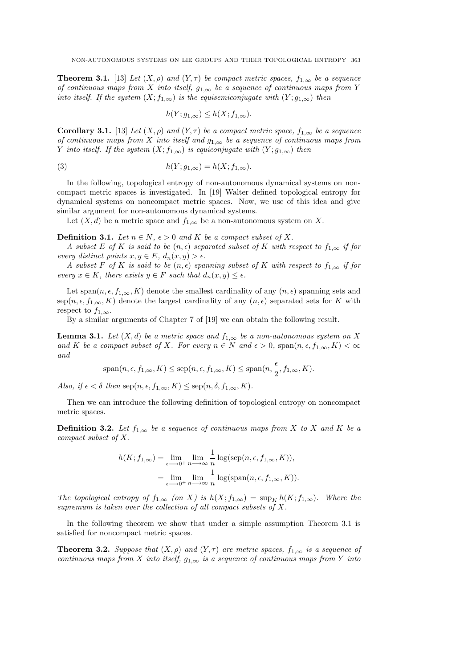**Theorem 3.1.** [13] Let  $(X, \rho)$  and  $(Y, \tau)$  be compact metric spaces,  $f_{1,\infty}$  be a sequence of continuous maps from X into itself,  $g_{1,\infty}$  be a sequence of continuous maps from Y into itself. If the system  $(X; f_{1,\infty})$  is the equisemiconjugate with  $(Y; g_{1,\infty})$  then

$$
h(Y; g_{1,\infty}) \le h(X; f_{1,\infty}).
$$

Corollary 3.1. [13] Let  $(X, \rho)$  and  $(Y, \tau)$  be a compact metric space,  $f_{1,\infty}$  be a sequence of continuous maps from X into itself and  $g_{1,\infty}$  be a sequence of continuous maps from Y into itself. If the system  $(X; f_{1,\infty})$  is equiconjugate with  $(Y; g_{1,\infty})$  then

(3) 
$$
h(Y; g_{1,\infty}) = h(X; f_{1,\infty}).
$$

In the following, topological entropy of non-autonomous dynamical systems on noncompact metric spaces is investigated. In [19] Walter defined topological entropy for dynamical systems on noncompact metric spaces. Now, we use of this idea and give similar argument for non-autonomous dynamical systems.

Let  $(X, d)$  be a metric space and  $f_{1,\infty}$  be a non-autonomous system on X.

**Definition 3.1.** Let  $n \in N$ ,  $\epsilon > 0$  and K be a compact subset of X.

A subset E of K is said to be  $(n, \epsilon)$  separated subset of K with respect to  $f_{1,\infty}$  if for every distinct points  $x, y \in E$ ,  $d_n(x, y) > \epsilon$ .

A subset F of K is said to be  $(n, \epsilon)$  spanning subset of K with respect to  $f_{1,\infty}$  if for every  $x \in K$ , there exists  $y \in F$  such that  $d_n(x, y) \leq \epsilon$ .

Let span $(n, \epsilon, f_{1,\infty}, K)$  denote the smallest cardinality of any  $(n, \epsilon)$  spanning sets and sep $(n, \epsilon, f_{1,\infty}, K)$  denote the largest cardinality of any  $(n, \epsilon)$  separated sets for K with respect to  $f_{1,\infty}$ .

By a similar arguments of Chapter 7 of [19] we can obtain the following result.

**Lemma 3.1.** Let  $(X, d)$  be a metric space and  $f_{1,\infty}$  be a non-autonomous system on X and K be a compact subset of X. For every  $n \in N$  and  $\epsilon > 0$ ,  $\text{span}(n, \epsilon, f_{1,\infty}, K) < \infty$ and

$$
\mathrm{span}(n,\epsilon,f_{1,\infty},K) \le \mathrm{sep}(n,\epsilon,f_{1,\infty},K) \le \mathrm{span}(n,\frac{\epsilon}{2},f_{1,\infty},K).
$$

Also, if  $\epsilon < \delta$  then  $\text{sep}(n, \epsilon, f_{1,\infty}, K) \leq \text{sep}(n, \delta, f_{1,\infty}, K)$ .

Then we can introduce the following definition of topological entropy on noncompact metric spaces.

**Definition 3.2.** Let  $f_{1,\infty}$  be a sequence of continuous maps from X to X and K be a compact subset of X.

$$
h(K; f_{1,\infty}) = \lim_{\epsilon \to 0^+} \lim_{n \to \infty} \frac{1}{n} \log(\text{sep}(n, \epsilon, f_{1,\infty}, K)),
$$
  
= 
$$
\lim_{\epsilon \to 0^+} \lim_{n \to \infty} \frac{1}{n} \log(\text{span}(n, \epsilon, f_{1,\infty}, K)).
$$

The topological entropy of  $f_{1,\infty}$  (on X) is  $h(X; f_{1,\infty}) = \sup_K h(K; f_{1,\infty})$ . Where the supremum is taken over the collection of all compact subsets of X.

In the following theorem we show that under a simple assumption Theorem 3.1 is satisfied for noncompact metric spaces.

**Theorem 3.2.** Suppose that  $(X, \rho)$  and  $(Y, \tau)$  are metric spaces,  $f_{1,\infty}$  is a sequence of continuous maps from X into itself,  $g_{1,\infty}$  is a sequence of continuous maps from Y into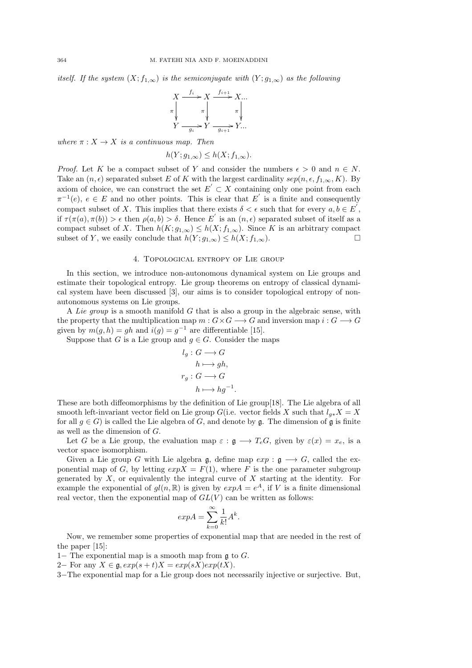itself. If the system  $(X; f_{1,\infty})$  is the semiconjugate with  $(Y; g_{1,\infty})$  as the following

$$
\begin{array}{ccc}\nX & \xrightarrow{f_i} & X & \xrightarrow{f_{i+1}} & X \dots \\
\pi & & & & \pi \\
Y & & & & & \pi\n\end{array}
$$
\n
$$
\begin{array}{c}\n\pi \\
\uparrow \\
Y & \xrightarrow{g_i} & Y & \xrightarrow{g_{i+1}} & Y \dots\n\end{array}
$$

where  $\pi: X \to X$  is a continuous map. Then

$$
h(Y; g_{1,\infty}) \le h(X; f_{1,\infty}).
$$

*Proof.* Let K be a compact subset of Y and consider the numbers  $\epsilon > 0$  and  $n \in N$ . Take an  $(n, \epsilon)$  separated subset E of K with the largest cardinality  $sep(n, \epsilon, f_{1,\infty}, K)$ . By axiom of choice, we can construct the set  $E' \subset X$  containing only one point from each  $\pi^{-1}(e)$ ,  $e \in E$  and no other points. This is clear that E' is a finite and consequently compact subset of X. This implies that there exists  $\delta < \epsilon$  such that for every  $a, b \in E^{'},$ if  $\tau(\pi(a), \pi(b)) > \epsilon$  then  $\rho(a, b) > \delta$ . Hence E' is an  $(n, \epsilon)$  separated subset of itself as a compact subset of X. Then  $h(K; g_{1,\infty}) \leq h(X; f_{1,\infty})$ . Since K is an arbitrary compact subset of Y, we easily conclude that  $h(Y; g_{1,\infty}) \leq h(X; f_{1,\infty})$ .

# 4. Topological entropy of Lie group

In this section, we introduce non-autonomous dynamical system on Lie groups and estimate their topological entropy. Lie group theorems on entropy of classical dynamical system have been discussed [3], our aims is to consider topological entropy of nonautonomous systems on Lie groups.

A Lie group is a smooth manifold  $G$  that is also a group in the algebraic sense, with the property that the multiplication map  $m: G \times G \longrightarrow G$  and inversion map  $i: G \longrightarrow G$ given by  $m(g, h) = gh$  and  $i(g) = g^{-1}$  are differentiable [15].

Suppose that G is a Lie group and  $g \in G$ . Consider the maps

$$
l_g: G \longrightarrow G
$$

$$
h \longmapsto gh,
$$

$$
r_g: G \longrightarrow G
$$

$$
h \longmapsto hg^{-1}.
$$

These are both diffeomorphisms by the definition of Lie group[18]. The Lie algebra of all smooth left-invariant vector field on Lie group G(i.e. vector fields X such that  $l_{g*}X = X$ for all  $q \in G$ ) is called the Lie algebra of G, and denote by  $\mathfrak{g}$ . The dimension of  $\mathfrak{g}$  is finite as well as the dimension of G.

Let G be a Lie group, the evaluation map  $\varepsilon : \mathfrak{g} \longrightarrow T_eG$ , given by  $\varepsilon(x) = x_e$ , is a vector space isomorphism.

Given a Lie group G with Lie algebra g, define map  $exp : \mathfrak{g} \longrightarrow G$ , called the exponential map of G, by letting  $expX = F(1)$ , where F is the one parameter subgroup generated by  $X$ , or equivalently the integral curve of  $X$  starting at the identity. For example the exponential of  $gl(n, \mathbb{R})$  is given by  $exp A = e^A$ , if V is a finite dimensional real vector, then the exponential map of  $GL(V)$  can be written as follows:

$$
exp A = \sum_{k=0}^{\infty} \frac{1}{k!} A^k.
$$

Now, we remember some properties of exponential map that are needed in the rest of the paper [15]:

1− The exponential map is a smooth map from  $\mathfrak g$  to  $G$ .

2− For any  $X \in \mathfrak{g}, exp(s+t)X = exp(sX)exp(tX)$ .

3−The exponential map for a Lie group does not necessarily injective or surjective. But,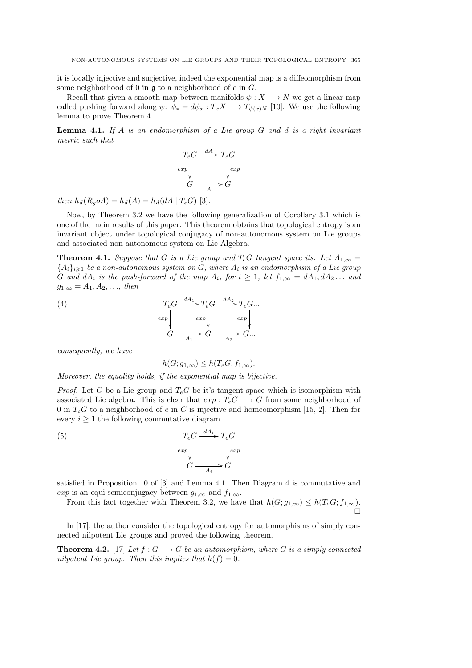it is locally injective and surjective, indeed the exponential map is a diffeomorphism from some neighborhood of 0 in  $\mathfrak g$  to a neighborhood of e in G.

Recall that given a smooth map between manifolds  $\psi: X \longrightarrow N$  we get a linear map called pushing forward along  $\psi: \psi_* = d\psi_x : T_x X \longrightarrow T_{\psi(x)N}$  [10]. We use the following lemma to prove Theorem 4.1.

**Lemma 4.1.** If A is an endomorphism of a Lie group  $G$  and  $d$  is a right invariant metric such that

$$
T_eG \xrightarrow{dA} T_eG
$$
  
\n
$$
G \xrightarrow{d} G
$$
  
\n
$$
G \xrightarrow{d} G
$$

then  $h_d(R_q o A) = h_d(A) = h_d(dA | T_e G)$  [3].

Now, by Theorem 3.2 we have the following generalization of Corollary 3.1 which is one of the main results of this paper. This theorem obtains that topological entropy is an invariant object under topological conjugacy of non-autonomous system on Lie groups and associated non-autonomous system on Lie Algebra.

**Theorem 4.1.** Suppose that G is a Lie group and  $T_eG$  tangent space its. Let  $A_{1,\infty} =$  ${A_i}_{i\geqslant1}$  be a non-autonomous system on G, where  $A_i$  is an endomorphism of a Lie group G and  $dA_i$  is the push-forward of the map  $A_i$ , for  $i \geq 1$ , let  $f_{1,\infty} = dA_1, dA_2 \ldots$  and  $g_{1,\infty} = A_1, A_2, \ldots, \text{ then}$ 

(4) 
$$
T_e G \xrightarrow{dA_1} T_e G \xrightarrow{dA_2} T_e G \dots
$$

$$
_{exp} \downarrow \qquad exp \downarrow \qquad exp \downarrow \qquad exp \downarrow
$$

$$
G \xrightarrow{A_1} G \xrightarrow{A_2} G \dots
$$

consequently, we have

$$
h(G; g_{1,\infty}) \le h(T_e G; f_{1,\infty}).
$$

Moreover, the equality holds, if the exponential map is bijective.

*Proof.* Let G be a Lie group and  $T_e$ G be it's tangent space which is isomorphism with associated Lie algebra. This is clear that  $exp: T_eG \longrightarrow G$  from some neighborhood of 0 in  $T_eG$  to a neighborhood of e in G is injective and homeomorphism [15, 2]. Then for every  $i \geq 1$  the following commutative diagram

(5) 
$$
T_e G \xrightarrow{dA_i} T_e G
$$

$$
^{exp} \Bigg\downarrow \qquad \downarrow \qquad \downarrow \qquad \downarrow \qquad \downarrow \qquad \downarrow \qquad \downarrow \qquad \downarrow \qquad \downarrow \qquad \downarrow \qquad \downarrow
$$

$$
G \xrightarrow{A_i} G
$$

satisfied in Proposition 10 of [3] and Lemma 4.1. Then Diagram 4 is commutative and exp is an equi-semiconjugacy between  $g_{1,\infty}$  and  $f_{1,\infty}$ .

From this fact together with Theorem 3.2, we have that  $h(G; g_{1,\infty}) \leq h(T_eG; f_{1,\infty})$ . Ó

In [17], the author consider the topological entropy for automorphisms of simply connected nilpotent Lie groups and proved the following theorem.

**Theorem 4.2.** [17] Let  $f : G \longrightarrow G$  be an automorphism, where G is a simply connected nilpotent Lie group. Then this implies that  $h(f) = 0$ .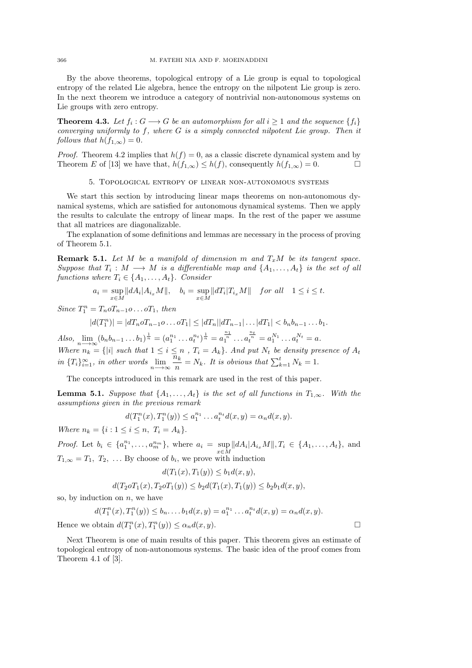By the above theorems, topological entropy of a Lie group is equal to topological entropy of the related Lie algebra, hence the entropy on the nilpotent Lie group is zero. In the next theorem we introduce a category of nontrivial non-autonomous systems on Lie groups with zero entropy.

**Theorem 4.3.** Let  $f_i: G \longrightarrow G$  be an automorphism for all  $i \geq 1$  and the sequence  $\{f_i\}$ converging uniformly to  $f$ , where  $G$  is a simply connected nilpotent Lie group. Then it follows that  $h(f_{1,\infty}) = 0$ .

*Proof.* Theorem 4.2 implies that  $h(f) = 0$ , as a classic discrete dynamical system and by Theorem E of [13] we have that,  $h(f_{1,\infty}) \leq h(f)$ , consequently  $h(f_{1,\infty}) = 0$ .

### 5. Topological entropy of linear non-autonomous systems

We start this section by introducing linear maps theorems on non-autonomous dynamical systems, which are satisfied for autonomous dynamical systems. Then we apply the results to calculate the entropy of linear maps. In the rest of the paper we assume that all matrices are diagonalizable.

The explanation of some definitions and lemmas are necessary in the process of proving of Theorem 5.1.

**Remark 5.1.** Let M be a manifold of dimension m and  $T_xM$  be its tangent space. Suppose that  $T_i: M \longrightarrow M$  is a differentiable map and  $\{A_1, \ldots, A_t\}$  is the set of all functions where  $T_i \in \{A_1, \ldots, A_t\}$ . Consider

$$
a_i = \sup_{x \in M} ||dA_i| A_{i_x} M||, \quad b_i = \sup_{x \in M} ||dT_i| T_{i_x} M|| \quad \text{for all} \quad 1 \le i \le t.
$$

Since  $T_1^n = T_n o T_{n-1} o \dots o T_1$ , then

$$
|d(T_1^n)| = |dT_n o T_{n-1} o \dots o T_1| \leq |dT_n||dT_{n-1}| \dots |dT_1| < b_n b_{n-1} \dots b_1.
$$

Also,  $\lim_{n\to\infty} (b_n b_{n-1} \dots b_1)^{\frac{1}{n}} = (a_1^{n_1} \dots a_t^{n_t})^{\frac{1}{n}} = a_1^{\frac{n_1}{n}} \dots a_t^{\frac{n_t}{n}} = a_1^{N_1} \dots a_t^{N_t} = a.$ Where  $n_k = \{ |i| \text{ such that } 1 \leq i \leq n , T_i = A_k \}.$  And put  $N_t$  be density presence of  $A_t$ in  $\{T_i\}_{i=1}^{\infty}$ , in other words  $\lim_{n\to\infty} \frac{\overline{n}_k}{n}$  $\frac{h_k}{n} = N_k$ . It is obvious that  $\sum_{k=1}^t N_k = 1$ .

The concepts introduced in this remark are used in the rest of this paper.

**Lemma 5.1.** Suppose that  $\{A_1, \ldots, A_t\}$  is the set of all functions in  $T_{1,\infty}$ . With the assumptions given in the previous remark

$$
d(T_1^n(x), T_1^n(y)) \le a_1^{n_1} \dots a_t^{n_t} d(x, y) = \alpha_n d(x, y).
$$

Where  $n_k = \{i : 1 \le i \le n, T_i = A_k\}.$ 

*Proof.* Let  $b_i \in \{a_1^{n_1}, \ldots, a_m^{n_m}\}$ , where  $a_i = \sup_{x \in M} ||dA_i| A_{i_x} M||, T_i \in \{A_1, \ldots, A_t\}$ , and  $T_{1,\infty} = T_1, T_2, \ldots$  By choose of  $b_i$ , we prove with induction

$$
d(T_1(x), T_1(y)) \le b_1 d(x, y),
$$

 $d(T_2oT_1(x), T_2oT_1(y)) \leq b_2d(T_1(x), T_1(y)) \leq b_2b_1d(x, y),$ 

so, by induction on  $n$ , we have

$$
d(T_1^n(x), T_1^n(y)) \le b_n \dots b_1 d(x, y) = a_1^{n_1} \dots a_t^{n_t} d(x, y) = \alpha_n d(x, y).
$$

Hence we obtain  $d(T_1^n(x), T_1^n(y)) \leq \alpha_n d(x, y)$ .

Next Theorem is one of main results of this paper. This theorem gives an estimate of topological entropy of non-autonomous systems. The basic idea of the proof comes from Theorem 4.1 of [3].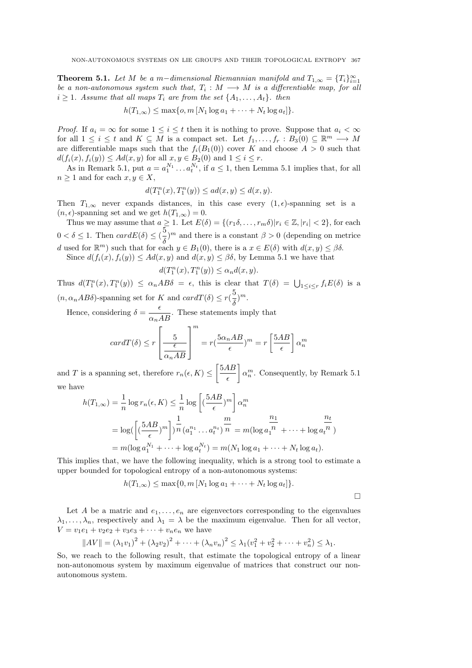**Theorem 5.1.** Let M be a m-dimensional Riemannian manifold and  $T_{1,\infty} = \{T_i\}_{i=1}^{\infty}$ be a non-autonomous system such that,  $T_i : M \longrightarrow M$  is a differentiable map, for all  $i \geq 1$ . Assume that all maps  $T_i$  are from the set  $\{A_1, \ldots, A_t\}$ . then

$$
h(T_{1,\infty}) \leq \max\{o, m \left[N_1 \log a_1 + \cdots + N_t \log a_t\right]\}.
$$

*Proof.* If  $a_i = \infty$  for some  $1 \leq i \leq t$  then it is nothing to prove. Suppose that  $a_i < \infty$ for all  $1 \leq i \leq t$  and  $K \subseteq M$  is a compact set. Let  $f_1, \ldots, f_r : B_3(0) \subseteq \mathbb{R}^m \longrightarrow M$ are differentiable maps such that the  $f_i(B_1(0))$  cover K and choose  $A > 0$  such that  $d(f_i(x), f_i(y)) \leq Ad(x, y)$  for all  $x, y \in B_2(0)$  and  $1 \leq i \leq r$ .

As in Remark 5.1, put  $a = a_1^{N_1} \dots a_t^{N_t}$ , if  $a \le 1$ , then Lemma 5.1 implies that, for all  $n \geq 1$  and for each  $x, y \in X$ ,

$$
d(T_1^n(x), T_1^n(y)) \le a d(x, y) \le d(x, y).
$$

Then  $T_{1,\infty}$  never expands distances, in this case every  $(1, \epsilon)$ -spanning set is a  $(n, \epsilon)$ -spanning set and we get  $h(T_{1,\infty}) = 0$ .

Thus we may assume that  $a \geq 1$ . Let  $E(\delta) = \{(r_1 \delta, \ldots, r_m \delta) | r_i \in \mathbb{Z}, |r_i| < 2\}$ , for each  $0 < \delta \leq 1$ . Then  $cardE(\delta) \leq (\frac{5}{5})$  $\delta^{(m)}$  and there is a constant  $\beta > 0$  (depending on metrice d used for  $\mathbb{R}^m$ ) such that for each  $y \in B_1(0)$ , there is a  $x \in E(\delta)$  with  $d(x, y) \leq \beta \delta$ . Since  $d(f_i(x), f_i(y)) \leq Ad(x, y)$  and  $d(x, y) \leq \beta \delta$ , by Lemma 5.1 we have that

$$
d(T_1^n(x),T_1^n(y))\leq \alpha_nd(x,y).
$$

Thus  $d(T_1^n(x), T_1^n(y)) \leq \alpha_n AB\delta = \epsilon$ , this is clear that  $T(\delta) = \bigcup_{1 \leq i \leq r} f_i E(\delta)$  is a  $(n, \alpha_n AB\delta)$ -spanning set for K and  $card T(\delta) \leq r(\frac{5}{5})$  $\frac{3}{\delta})^m$ .

Hence, considering  $\delta = \frac{\epsilon}{\alpha_n AB}$ . These statements imply that

$$
cardT(\delta) \le r \left[ \frac{5}{\frac{\epsilon}{\alpha_n AB}} \right]^m = r \left( \frac{5\alpha_n AB}{\epsilon} \right)^m = r \left[ \frac{5AB}{\epsilon} \right] \alpha_n^m
$$

and T is a spanning set, therefore  $r_n(\epsilon, K) \leq \left[\frac{5AB}{5}\right]$  $\epsilon$  $\bar{\alpha}_n^m$ . Consequently, by Remark 5.1 we have

$$
h(T_{1,\infty}) = \frac{1}{n} \log r_n(\epsilon, K) \le \frac{1}{n} \log \left[ \left( \frac{5AB}{\epsilon} \right)^m \right] \alpha_n^m
$$
  
=  $\log \left( \left[ \left( \frac{5AB}{\epsilon} \right)^m \right] \right) \frac{1}{n} \left( a_1^{n_1} \dots a_t^{n_t} \right) \frac{m}{n} = m(\log a_1^m + \dots + \log a_t^m)$   
=  $m(\log a_1^{N_1} + \dots + \log a_t^{N_t}) = m(N_1 \log a_1 + \dots + N_t \log a_t).$ 

This implies that, we have the following inequality, which is a strong tool to estimate a upper bounded for topological entropy of a non-autonomous systems:

$$
h(T_{1,\infty}) \leq \max\{0, m\left[N_1\log a_1 + \cdots + N_t\log a_t\right]\}.
$$

 $\Box$ 

Let A be a matric and  $e_1, \ldots, e_n$  are eigenvectors corresponding to the eigenvalues  $\lambda_1, \ldots, \lambda_n$ , respectively and  $\lambda_1 = \lambda$  be the maximum eigenvalue. Then for all vector,  $V = v_1e_1 + v_2e_2 + v_3e_3 + \cdots + v_ne_n$  we have

$$
||AV|| = (\lambda_1 v_1)^2 + (\lambda_2 v_2)^2 + \dots + (\lambda_n v_n)^2 \leq \lambda_1 (v_1^2 + v_2^2 + \dots + v_n^2) \leq \lambda_1.
$$

So, we reach to the following result, that estimate the topological entropy of a linear non-autonomous system by maximum eigenvalue of matrices that construct our nonautonomous system.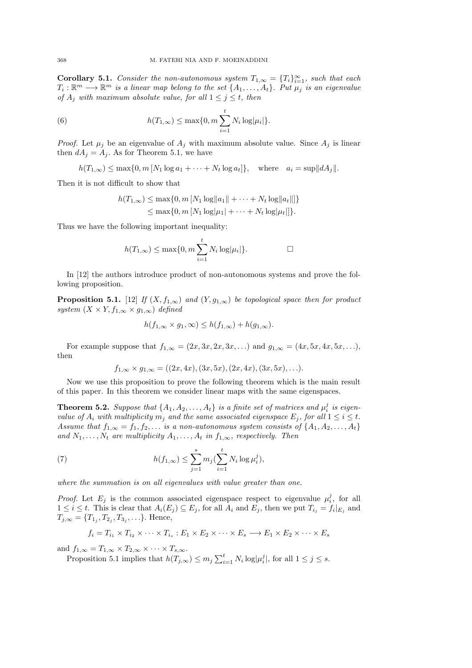**Corollary 5.1.** Consider the non-autonomous system  $T_{1,\infty} = \{T_i\}_{i=1}^{\infty}$ , such that each  $T_i: \mathbb{R}^m \longrightarrow \mathbb{R}^m$  is a linear map belong to the set  $\{A_1, \ldots, A_t\}$ . Put  $\mu_j$  is an eigenvalue of  $A_j$  with maximum absolute value, for all  $1 \leq j \leq t$ , then

(6) 
$$
h(T_{1,\infty}) \leq \max\{0, m \sum_{i=1}^{t} N_i \log |\mu_i| \}.
$$

*Proof.* Let  $\mu_j$  be an eigenvalue of  $A_j$  with maximum absolute value. Since  $A_j$  is linear then  $dA_j = A_j$ . As for Theorem 5.1, we have

$$
h(T_{1,\infty}) \le \max\{0, m \left[N_1 \log a_1 + \dots + N_t \log a_t\right]\}, \quad \text{where} \quad a_i = \sup ||dA_j||.
$$

Then it is not difficult to show that

$$
h(T_{1,\infty}) \le \max\{0, m [N_1 \log ||a_1|| + \cdots + N_t \log ||a_t||]\}
$$
  
 
$$
\le \max\{0, m [N_1 \log ||a_1|| + \cdots + N_t \log ||a_t||]\}.
$$

Thus we have the following important inequality:

$$
h(T_{1,\infty}) \le \max\{0, m \sum_{i=1}^t N_i \log |\mu_i|\}.
$$

In [12] the authors introduce product of non-autonomous systems and prove the following proposition.

**Proposition 5.1.** [12] If  $(X, f_{1,\infty})$  and  $(Y, g_{1,\infty})$  be topological space then for product system  $(X \times Y, f_{1,\infty} \times g_{1,\infty})$  defined

$$
h(f_{1,\infty} \times g_1, \infty) \le h(f_{1,\infty}) + h(g_{1,\infty}).
$$

For example suppose that  $f_{1,\infty} = (2x, 3x, 2x, 3x, ...)$  and  $g_{1,\infty} = (4x, 5x, 4x, 5x, ...)$ then

$$
f_{1,\infty} \times g_{1,\infty} = ((2x, 4x), (3x, 5x), (2x, 4x), (3x, 5x), \ldots).
$$

Now we use this proposition to prove the following theorem which is the main result of this paper. In this theorem we consider linear maps with the same eigenspaces.

**Theorem 5.2.** Suppose that  $\{A_1, A_2, \ldots, A_t\}$  is a finite set of matrices and  $\mu_i^j$  is eigenvalue of  $A_i$  with multiplicity  $m_j$  and the same associated eigenspace  $E_j$ , for all  $1 \leq i \leq t$ . Assume that  $f_{1,\infty} = f_1, f_2, \ldots$  is a non-autonomous system consists of  $\{A_1, A_2, \ldots, A_t\}$ and  $N_1, \ldots, N_t$  are multiplicity  $A_1, \ldots, A_t$  in  $f_{1,\infty}$ , respectively. Then

(7) 
$$
h(f_{1,\infty}) \leq \sum_{j=1}^{s} m_j \left(\sum_{i=1}^{t} N_i \log \mu_i^j\right),
$$

where the summation is on all eigenvalues with value greater than one.

*Proof.* Let  $E_j$  is the common associated eigenspace respect to eigenvalue  $\mu_i^j$ , for all  $1 \leq i \leq t$ . This is clear that  $A_i(E_j) \subseteq E_j$ , for all  $A_i$  and  $E_j$ , then we put  $T_{i_j} = f_i|_{E_j}$  and  $T_{j,\infty} = \{T_{1_j}, T_{2_j}, T_{3_j}, \ldots\}$ . Hence,

$$
f_i = T_{i_1} \times T_{i_2} \times \cdots \times T_{i_s} : E_1 \times E_2 \times \cdots \times E_s \longrightarrow E_1 \times E_2 \times \cdots \times E_s
$$

and  $f_{1,\infty} = T_{1,\infty} \times T_{2,\infty} \times \cdots \times T_{s,\infty}$ .

Proposition 5.1 implies that  $h(T_{j,\infty}) \leq m_j \sum_{i=1}^t N_i \log |\mu_i^j|$ , for all  $1 \leq j \leq s$ .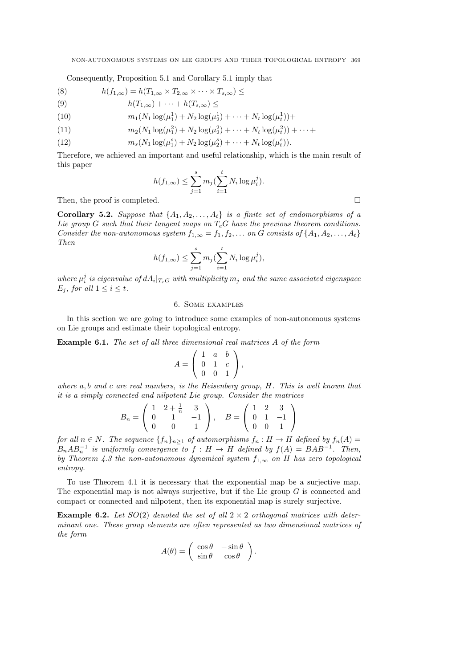Consequently, Proposition 5.1 and Corollary 5.1 imply that

(8) 
$$
h(f_{1,\infty}) = h(T_{1,\infty} \times T_{2,\infty} \times \cdots \times T_{s,\infty}) \le
$$

$$
(9) \t\t\t h(T_{1,\infty}) + \cdots + h(T_{s,\infty}) \le
$$

(10) 
$$
m_1(N_1 \log(\mu_1^1) + N_2 \log(\mu_2^1) + \cdots + N_t \log(\mu_t^1)) +
$$

(11) 
$$
m_2(N_1 \log(\mu_1^2) + N_2 \log(\mu_2^2) + \cdots + N_t \log(\mu_t^2)) + \cdots +
$$

(12) 
$$
m_s(N_1 \log(\mu_1^s) + N_2 \log(\mu_2^s) + \cdots + N_t \log(\mu_t^s)).
$$

Therefore, we achieved an important and useful relationship, which is the main result of this paper

$$
h(f_{1,\infty}) \le \sum_{j=1}^{s} m_j \left(\sum_{i=1}^{t} N_i \log \mu_i^j\right).
$$

Then, the proof is completed.

Corollary 5.2. Suppose that  $\{A_1, A_2, \ldots, A_t\}$  is a finite set of endomorphisms of a Lie group G such that their tangent maps on  $T_e$ G have the previous theorem conditions. Consider the non-autonomous system  $f_{1,\infty} = f_1, f_2, \ldots$  on G consists of  $\{A_1, A_2, \ldots, A_t\}$ Then

$$
h(f_{1,\infty}) \le \sum_{j=1}^{s} m_j \left(\sum_{i=1}^{t} N_i \log \mu_i^j\right),
$$

where  $\mu_i^j$  is eigenvalue of  $dA_i|_{T_eG}$  with multiplicity  $m_j$  and the same associated eigenspace  $E_i$ , for all  $1 \leq i \leq t$ .

## 6. Some examples

In this section we are going to introduce some examples of non-autonomous systems on Lie groups and estimate their topological entropy.

Example 6.1. The set of all three dimensional real matrices A of the form

$$
A = \left( \begin{array}{ccc} 1 & a & b \\ 0 & 1 & c \\ 0 & 0 & 1 \end{array} \right),
$$

where a, b and c are real numbers, is the Heisenberg group, H. This is well known that it is a simply connected and nilpotent Lie group. Consider the matrices

$$
B_n = \begin{pmatrix} 1 & 2 + \frac{1}{n} & 3 \\ 0 & 1 & -1 \\ 0 & 0 & 1 \end{pmatrix}, \quad B = \begin{pmatrix} 1 & 2 & 3 \\ 0 & 1 & -1 \\ 0 & 0 & 1 \end{pmatrix}
$$

for all  $n \in N$ . The sequence  $\{f_n\}_{n\geq 1}$  of automorphisms  $f_n : H \to H$  defined by  $f_n(A) =$  $B_n AB_n^{-1}$  is uniformly convergence to  $f : H \to H$  defined by  $f(A) = BAB^{-1}$ . Then, by Theorem 4.3 the non-autonomous dynamical system  $f_{1,\infty}$  on H has zero topological entropy.

To use Theorem 4.1 it is necessary that the exponential map be a surjective map. The exponential map is not always surjective, but if the Lie group  $G$  is connected and compact or connected and nilpotent, then its exponential map is surely surjective.

**Example 6.2.** Let  $SO(2)$  denoted the set of all  $2 \times 2$  orthogonal matrices with determinant one. These group elements are often represented as two dimensional matrices of the form

$$
A(\theta) = \begin{pmatrix} \cos \theta & -\sin \theta \\ \sin \theta & \cos \theta \end{pmatrix}.
$$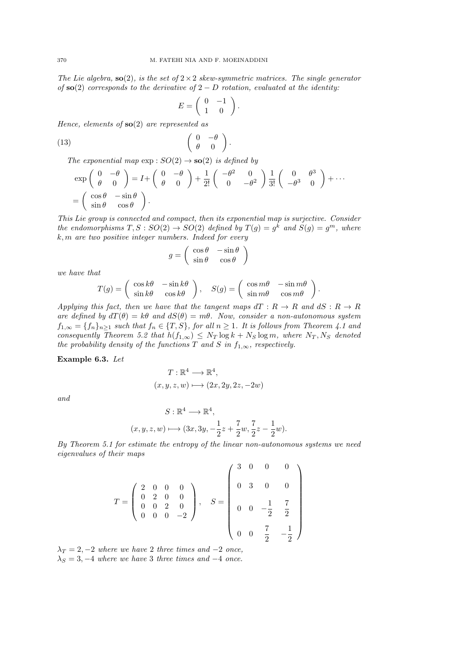The Lie algebra,  $\mathbf{so}(2)$ , is the set of  $2 \times 2$  skew-symmetric matrices. The single generator of  $\mathbf{so}(2)$  corresponds to the derivative of  $2-D$  rotation, evaluated at the identity:

$$
E = \left( \begin{array}{cc} 0 & -1 \\ 1 & 0 \end{array} \right).
$$

Hence, elements of  $so(2)$  are represented as

$$
\begin{pmatrix}\n0 & -\theta \\
\theta & 0\n\end{pmatrix}.
$$

The exponential map  $\exp: SO(2) \to SO(2)$  is defined by

$$
\exp\left(\begin{array}{cc} 0 & -\theta \\ \theta & 0 \end{array}\right) = I + \left(\begin{array}{cc} 0 & -\theta \\ \theta & 0 \end{array}\right) + \frac{1}{2!} \left(\begin{array}{cc} -\theta^2 & 0 \\ 0 & -\theta^2 \end{array}\right) \frac{1}{3!} \left(\begin{array}{cc} 0 & \theta^3 \\ -\theta^3 & 0 \end{array}\right) + \cdots
$$

$$
= \left(\begin{array}{cc} \cos\theta & -\sin\theta \\ \sin\theta & \cos\theta \end{array}\right).
$$

This Lie group is connected and compact, then its exponential map is surjective. Consider the endomorphisms  $T, S : SO(2) \rightarrow SO(2)$  defined by  $T(g) = g^k$  and  $S(g) = g^m$ , where  $k, m$  are two positive integer numbers. Indeed for every

$$
g = \begin{pmatrix} \cos \theta & -\sin \theta \\ \sin \theta & \cos \theta \end{pmatrix}
$$

we have that

$$
T(g) = \begin{pmatrix} \cos k\theta & -\sin k\theta \\ \sin k\theta & \cos k\theta \end{pmatrix}, \quad S(g) = \begin{pmatrix} \cos m\theta & -\sin m\theta \\ \sin m\theta & \cos m\theta \end{pmatrix}
$$

.

Applying this fact, then we have that the tangent maps  $dT : R \to R$  and  $dS : R \to R$ are defined by  $dT(\theta) = k\theta$  and  $dS(\theta) = m\theta$ . Now, consider a non-autonomous system  $f_{1,\infty} = \{f_n\}_{n\geq 1}$  such that  $f_n \in \{T, S\}$ , for all  $n \geq 1$ . It is follows from Theorem 4.1 and consequently Theorem 5.2 that  $h(f_{1,\infty}) \leq N_T \log k + N_S \log m$ , where  $N_T, N_S$  denoted the probability density of the functions T and S in  $f_{1,\infty}$ , respectively.

Example 6.3. Let

$$
T: \mathbb{R}^4 \longrightarrow \mathbb{R}^4,
$$
  

$$
(x, y, z, w) \longmapsto (2x, 2y, 2z, -2w)
$$

and

$$
S: \mathbb{R}^4 \longrightarrow \mathbb{R}^4,
$$
  

$$
(x, y, z, w) \longmapsto (3x, 3y, -\frac{1}{2}z + \frac{7}{2}w, \frac{7}{2}z - \frac{1}{2}w).
$$

By Theorem 5.1 for estimate the entropy of the linear non-autonomous systems we need eigenvalues of their maps

$$
T = \begin{pmatrix} 2 & 0 & 0 & 0 \\ 0 & 2 & 0 & 0 \\ 0 & 0 & 2 & 0 \\ 0 & 0 & 0 & -2 \end{pmatrix}, \quad S = \begin{pmatrix} 3 & 0 & 0 & 0 \\ 0 & 3 & 0 & 0 \\ 0 & 0 & -\frac{1}{2} & \frac{7}{2} \\ 0 & 0 & \frac{7}{2} & -\frac{1}{2} \end{pmatrix}
$$

 $\lambda_T = 2, -2$  where we have 2 three times and  $-2$  once,  $\lambda_S = 3, -4$  where we have 3 three times and  $-4$  once.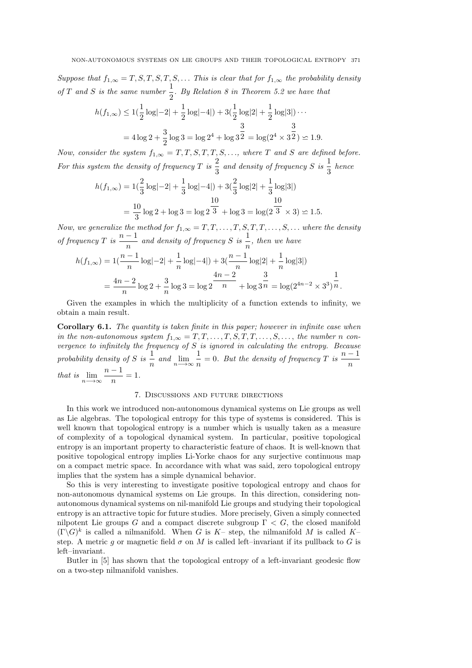Suppose that  $f_{1,\infty} = T, S, T, S, T, S, \ldots$  This is clear that for  $f_{1,\infty}$  the probability density of T and S is the same number  $\frac{1}{2}$ . By Relation 8 in Theorem 5.2 we have that

$$
h(f_{1,\infty}) \le 1\left(\frac{1}{2}\log|-2| + \frac{1}{2}\log|-4|\right) + 3\left(\frac{1}{2}\log|2| + \frac{1}{2}\log|3|\right) \cdots
$$
  
=  $4\log 2 + \frac{3}{2}\log 3 = \log 2^4 + \log 3^{\frac{3}{2}} = \log(2^4 \times 3^{\frac{3}{2}}) \le 1.9.$ 

Now, consider the system  $f_{1,\infty} = T, T, S, T, T, S, \ldots$ , where T and S are defined before. For this system the density of frequency T is  $\frac{2}{3}$  $\frac{2}{3}$  and density of frequency S is  $\frac{1}{3}$  $\frac{1}{3}$  hence

$$
h(f_{1,\infty}) = 1\left(\frac{2}{3}\log|-2| + \frac{1}{3}\log|-4| \right) + 3\left(\frac{2}{3}\log|2| + \frac{1}{3}\log|3| \right)
$$
  
=  $\frac{10}{3}\log 2 + \log 3 = \log 2\frac{10}{3} + \log 3 = \log(2\frac{10}{3} \times 3) \le 1.5.$ 

Now, we generalize the method for  $f_{1,\infty} = T, T, \ldots, T, S, T, T, \ldots, S, \ldots$  where the density of frequency T is  $\frac{n-1}{n}$  $\frac{n-1}{n}$  and density of frequency S is  $\frac{1}{n}$  $\frac{1}{n}$ , then we have

$$
h(f_{1,\infty}) = 1\left(\frac{n-1}{n}\log|-2| + \frac{1}{n}\log|-4|\right) + 3\left(\frac{n-1}{n}\log|2| + \frac{1}{n}\log|3|\right)
$$
  
= 
$$
\frac{4n-2}{n}\log 2 + \frac{3}{n}\log 3 = \log 2 \frac{4n-2}{n} + \log 3 \frac{3}{n} = \log(2^{4n-2} \times 3^3) \frac{1}{n}.
$$

Given the examples in which the multiplicity of a function extends to infinity, we obtain a main result.

Corollary 6.1. The quantity is taken finite in this paper; however in infinite case when in the non-autonomous system  $f_{1,\infty} = T, T, \ldots, T, S, T, T, \ldots, S, \ldots$ , the number n convergence to infinitely the frequency of  $S$  is ignored in calculating the entropy. Because probability density of S is  $\frac{1}{5}$  $\frac{1}{n}$  and  $\lim_{n\to\infty}\frac{1}{n}$  $\frac{1}{n} = 0$ . But the density of frequency T is  $\frac{n-1}{n}$ n that is  $\lim_{n\to\infty}\frac{n-1}{n}$  $\frac{1}{n} = 1.$ 

### 7. Discussions and future directions

In this work we introduced non-autonomous dynamical systems on Lie groups as well as Lie algebras. The topological entropy for this type of systems is considered. This is well known that topological entropy is a number which is usually taken as a measure of complexity of a topological dynamical system. In particular, positive topological entropy is an important property to characteristic feature of chaos. It is well-known that positive topological entropy implies Li-Yorke chaos for any surjective continuous map on a compact metric space. In accordance with what was said, zero topological entropy implies that the system has a simple dynamical behavior.

So this is very interesting to investigate positive topological entropy and chaos for non-autonomous dynamical systems on Lie groups. In this direction, considering nonautonomous dynamical systems on nil-manifold Lie groups and studying their topological entropy is an attractive topic for future studies. More precisely, Given a simply connected nilpotent Lie groups G and a compact discrete subgroup  $\Gamma < G$ , the closed manifold  $(\Gamma \backslash G)^k$  is called a nilmanifold. When G is K- step, the nilmanifold M is called Kstep. A metric g or magnetic field  $\sigma$  on M is called left–invariant if its pullback to G is left–invariant.

Butler in [5] has shown that the topological entropy of a left-invariant geodesic flow on a two-step nilmanifold vanishes.